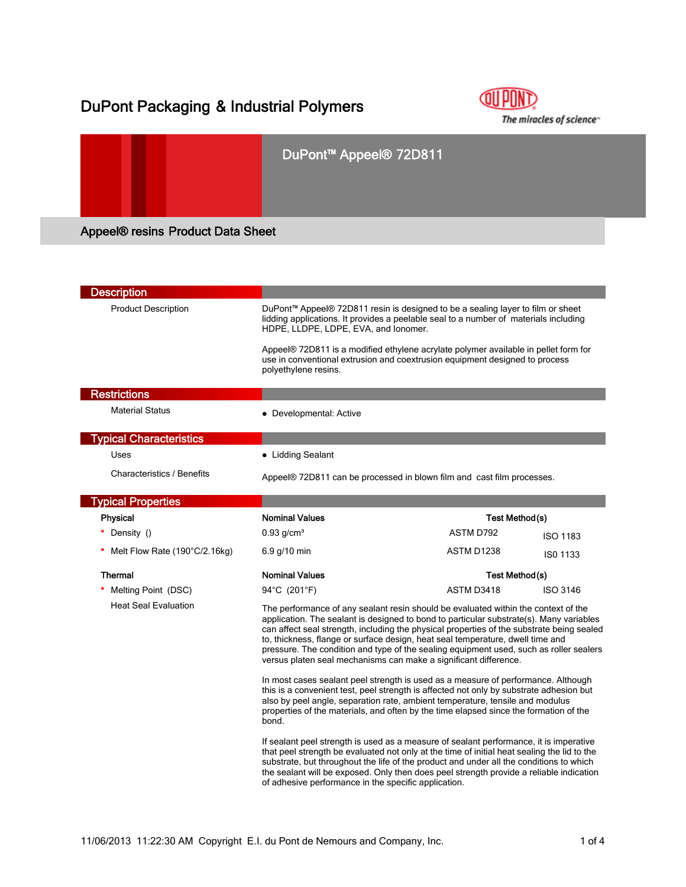## DuPont Packaging & Industrial Polymers



# DuPont™ Appeel® 72D811 Appeel® resins Product Data Sheet

| <b>Description</b>                |                                                                                                                                                                                                                                                                                                                                                                                                                                                                                                                            |                              |  |  |
|-----------------------------------|----------------------------------------------------------------------------------------------------------------------------------------------------------------------------------------------------------------------------------------------------------------------------------------------------------------------------------------------------------------------------------------------------------------------------------------------------------------------------------------------------------------------------|------------------------------|--|--|
| <b>Product Description</b>        | DuPont™ Appeel® 72D811 resin is designed to be a sealing layer to film or sheet<br>lidding applications. It provides a peelable seal to a number of materials including<br>HDPE, LLDPE, LDPE, EVA, and lonomer.                                                                                                                                                                                                                                                                                                            |                              |  |  |
|                                   | Appeel® 72D811 is a modified ethylene acrylate polymer available in pellet form for<br>use in conventional extrusion and coextrusion equipment designed to process<br>polyethylene resins.                                                                                                                                                                                                                                                                                                                                 |                              |  |  |
| <b>Restrictions</b>               |                                                                                                                                                                                                                                                                                                                                                                                                                                                                                                                            |                              |  |  |
| <b>Material Status</b>            | • Developmental: Active                                                                                                                                                                                                                                                                                                                                                                                                                                                                                                    |                              |  |  |
| <b>Typical Characteristics</b>    |                                                                                                                                                                                                                                                                                                                                                                                                                                                                                                                            |                              |  |  |
| Uses                              | • Lidding Sealant                                                                                                                                                                                                                                                                                                                                                                                                                                                                                                          |                              |  |  |
| <b>Characteristics / Benefits</b> | Appeel® 72D811 can be processed in blown film and cast film processes.                                                                                                                                                                                                                                                                                                                                                                                                                                                     |                              |  |  |
| <b>Typical Properties</b>         |                                                                                                                                                                                                                                                                                                                                                                                                                                                                                                                            |                              |  |  |
| Physical                          | <b>Nominal Values</b>                                                                                                                                                                                                                                                                                                                                                                                                                                                                                                      | Test Method(s)               |  |  |
| Density ()                        | $0.93$ g/cm <sup>3</sup>                                                                                                                                                                                                                                                                                                                                                                                                                                                                                                   | ASTM D792<br><b>ISO 1183</b> |  |  |
| Melt Flow Rate (190°C/2.16kg)     | 6.9 g/10 min                                                                                                                                                                                                                                                                                                                                                                                                                                                                                                               | ASTM D1238<br>ISO 1133       |  |  |
| <b>Thermal</b>                    | <b>Nominal Values</b><br>Test Method(s)                                                                                                                                                                                                                                                                                                                                                                                                                                                                                    |                              |  |  |
| Melting Point (DSC)               | 94°C (201°F)                                                                                                                                                                                                                                                                                                                                                                                                                                                                                                               | ASTM D3418<br>ISO 3146       |  |  |
| <b>Heat Seal Evaluation</b>       | The performance of any sealant resin should be evaluated within the context of the<br>application. The sealant is designed to bond to particular substrate(s). Many variables<br>can affect seal strength, including the physical properties of the substrate being sealed<br>to, thickness, flange or surface design, heat seal temperature, dwell time and<br>pressure. The condition and type of the sealing equipment used, such as roller sealers<br>versus platen seal mechanisms can make a significant difference. |                              |  |  |
|                                   | In most cases sealant peel strength is used as a measure of performance. Although<br>this is a convenient test, peel strength is affected not only by substrate adhesion but<br>also by peel angle, separation rate, ambient temperature, tensile and modulus<br>properties of the materials, and often by the time elapsed since the formation of the<br>bond.                                                                                                                                                            |                              |  |  |
|                                   | If sealant peel strength is used as a measure of sealant performance, it is imperative<br>that peel strength be evaluated not only at the time of initial heat sealing the lid to the<br>substrate, but throughout the life of the product and under all the conditions to which<br>the sealant will be exposed. Only then does peel strength provide a reliable indication                                                                                                                                                |                              |  |  |

of adhesive performance in the specific application.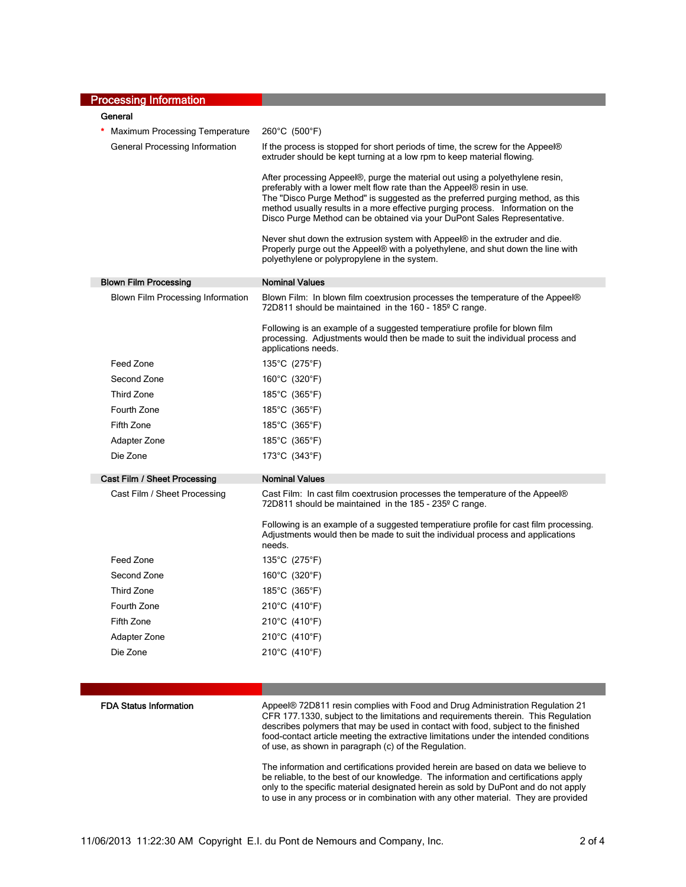| <b>Processing Information</b>            |                                                                                                                                                                                                                                                                                                                                                                                                       |
|------------------------------------------|-------------------------------------------------------------------------------------------------------------------------------------------------------------------------------------------------------------------------------------------------------------------------------------------------------------------------------------------------------------------------------------------------------|
| General                                  |                                                                                                                                                                                                                                                                                                                                                                                                       |
| <b>Maximum Processing Temperature</b>    | 260°C (500°F)                                                                                                                                                                                                                                                                                                                                                                                         |
| General Processing Information           | If the process is stopped for short periods of time, the screw for the Appeel®<br>extruder should be kept turning at a low rpm to keep material flowing.                                                                                                                                                                                                                                              |
|                                          | After processing Appeel®, purge the material out using a polyethylene resin,<br>preferably with a lower melt flow rate than the Appeel® resin in use.<br>The "Disco Purge Method" is suggested as the preferred purging method, as this<br>method usually results in a more effective purging process. Information on the<br>Disco Purge Method can be obtained via your DuPont Sales Representative. |
|                                          | Never shut down the extrusion system with Appeel® in the extruder and die.<br>Properly purge out the Appeel® with a polyethylene, and shut down the line with<br>polyethylene or polypropylene in the system.                                                                                                                                                                                         |
| <b>Blown Film Processing</b>             | <b>Nominal Values</b>                                                                                                                                                                                                                                                                                                                                                                                 |
| <b>Blown Film Processing Information</b> | Blown Film: In blown film coextrusion processes the temperature of the Appeel®<br>72D811 should be maintained in the 160 - 185 <sup>°</sup> C range.                                                                                                                                                                                                                                                  |
|                                          | Following is an example of a suggested temperatiure profile for blown film<br>processing. Adjustments would then be made to suit the individual process and<br>applications needs.                                                                                                                                                                                                                    |
| Feed Zone                                | 135°C (275°F)                                                                                                                                                                                                                                                                                                                                                                                         |
| Second Zone                              | 160°C (320°F)                                                                                                                                                                                                                                                                                                                                                                                         |
| <b>Third Zone</b>                        | 185°C (365°F)                                                                                                                                                                                                                                                                                                                                                                                         |
| Fourth Zone                              | 185°C (365°F)                                                                                                                                                                                                                                                                                                                                                                                         |
| Fifth Zone                               | 185°C (365°F)                                                                                                                                                                                                                                                                                                                                                                                         |
| Adapter Zone                             | 185°C (365°F)                                                                                                                                                                                                                                                                                                                                                                                         |
| Die Zone                                 | 173°C (343°F)                                                                                                                                                                                                                                                                                                                                                                                         |
| Cast Film / Sheet Processing             | <b>Nominal Values</b>                                                                                                                                                                                                                                                                                                                                                                                 |
| Cast Film / Sheet Processing             | Cast Film: In cast film coextrusion processes the temperature of the Appeel®<br>72D811 should be maintained in the 185 - 235° C range.                                                                                                                                                                                                                                                                |
|                                          | Following is an example of a suggested temperatiure profile for cast film processing.<br>Adjustments would then be made to suit the individual process and applications<br>needs.                                                                                                                                                                                                                     |
| Feed Zone                                | 135°C (275°F)                                                                                                                                                                                                                                                                                                                                                                                         |
| Second Zone                              | 160°C (320°F)                                                                                                                                                                                                                                                                                                                                                                                         |
| Third Zone                               | 185°C (365°F)                                                                                                                                                                                                                                                                                                                                                                                         |
| Fourth Zone                              | 210°C (410°F)                                                                                                                                                                                                                                                                                                                                                                                         |
| Fifth Zone                               | 210°C (410°F)                                                                                                                                                                                                                                                                                                                                                                                         |
| Adapter Zone                             | 210°C (410°F)                                                                                                                                                                                                                                                                                                                                                                                         |
| Die Zone                                 | 210°C (410°F)                                                                                                                                                                                                                                                                                                                                                                                         |
|                                          |                                                                                                                                                                                                                                                                                                                                                                                                       |

FDA Status Information **Appeel® 72D811** resin complies with Food and Drug Administration Regulation 21 CFR 177.1330, subject to the limitations and requirements therein. This Regulation describes polymers that may be used in contact with food, subject to the finished food-contact article meeting the extractive limitations under the intended conditions of use, as shown in paragraph (c) of the Regulation.

> The information and certifications provided herein are based on data we believe to be reliable, to the best of our knowledge. The information and certifications apply only to the specific material designated herein as sold by DuPont and do not apply to use in any process or in combination with any other material. They are provided